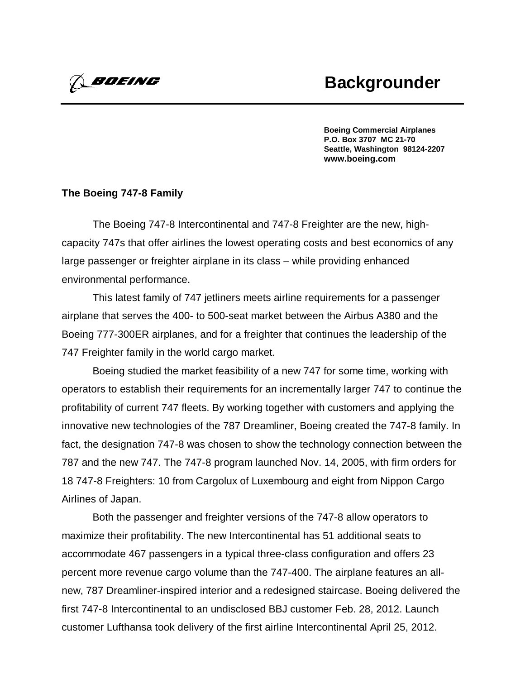**Boeing Commercial Airplanes P.O. Box 3707 MC 21-70 Seattle, Washington 98124-2207 www.boeing.com**

## **The Boeing 747-8 Family**

*Boeing* 

The Boeing 747-8 Intercontinental and 747-8 Freighter are the new, highcapacity 747s that offer airlines the lowest operating costs and best economics of any large passenger or freighter airplane in its class – while providing enhanced environmental performance.

This latest family of 747 jetliners meets airline requirements for a passenger airplane that serves the 400- to 500-seat market between the Airbus A380 and the Boeing 777-300ER airplanes, and for a freighter that continues the leadership of the 747 Freighter family in the world cargo market.

Boeing studied the market feasibility of a new 747 for some time, working with operators to establish their requirements for an incrementally larger 747 to continue the profitability of current 747 fleets. By working together with customers and applying the innovative new technologies of the 787 Dreamliner, Boeing created the 747-8 family. In fact, the designation 747-8 was chosen to show the technology connection between the 787 and the new 747. The 747-8 program launched Nov. 14, 2005, with firm orders for 18 747-8 Freighters: 10 from Cargolux of Luxembourg and eight from Nippon Cargo Airlines of Japan.

Both the passenger and freighter versions of the 747-8 allow operators to maximize their profitability. The new Intercontinental has 51 additional seats to accommodate 467 passengers in a typical three-class configuration and offers 23 percent more revenue cargo volume than the 747-400. The airplane features an allnew, 787 Dreamliner-inspired interior and a redesigned staircase. Boeing delivered the first 747-8 Intercontinental to an undisclosed BBJ customer Feb. 28, 2012. Launch customer Lufthansa took delivery of the first airline Intercontinental April 25, 2012.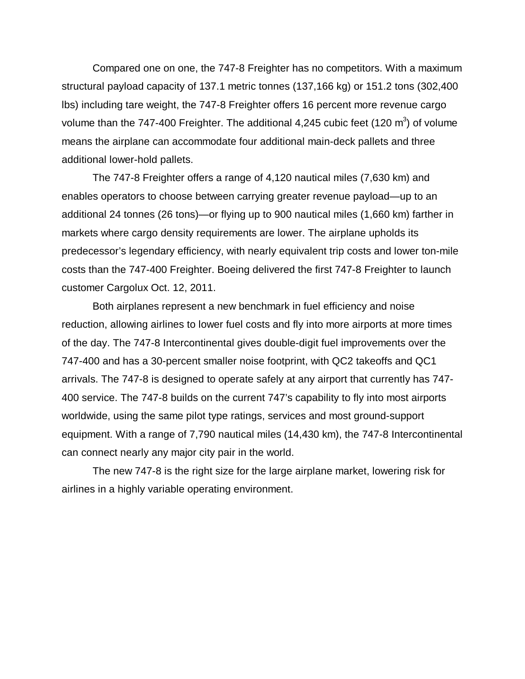Compared one on one, the 747-8 Freighter has no competitors. With a maximum structural payload capacity of 137.1 metric tonnes (137,166 kg) or 151.2 tons (302,400 lbs) including tare weight, the 747-8 Freighter offers 16 percent more revenue cargo volume than the 747-400 Freighter. The additional 4,245 cubic feet (120  $\text{m}^3$ ) of volume means the airplane can accommodate four additional main-deck pallets and three additional lower-hold pallets.

The 747-8 Freighter offers a range of 4,120 nautical miles (7,630 km) and enables operators to choose between carrying greater revenue payload—up to an additional 24 tonnes (26 tons)—or flying up to 900 nautical miles (1,660 km) farther in markets where cargo density requirements are lower. The airplane upholds its predecessor's legendary efficiency, with nearly equivalent trip costs and lower ton-mile costs than the 747-400 Freighter. Boeing delivered the first 747-8 Freighter to launch customer Cargolux Oct. 12, 2011.

Both airplanes represent a new benchmark in fuel efficiency and noise reduction, allowing airlines to lower fuel costs and fly into more airports at more times of the day. The 747-8 Intercontinental gives double-digit fuel improvements over the 747-400 and has a 30-percent smaller noise footprint, with QC2 takeoffs and QC1 arrivals. The 747-8 is designed to operate safely at any airport that currently has 747- 400 service. The 747-8 builds on the current 747's capability to fly into most airports worldwide, using the same pilot type ratings, services and most ground-support equipment. With a range of 7,790 nautical miles (14,430 km), the 747-8 Intercontinental can connect nearly any major city pair in the world.

The new 747-8 is the right size for the large airplane market, lowering risk for airlines in a highly variable operating environment.